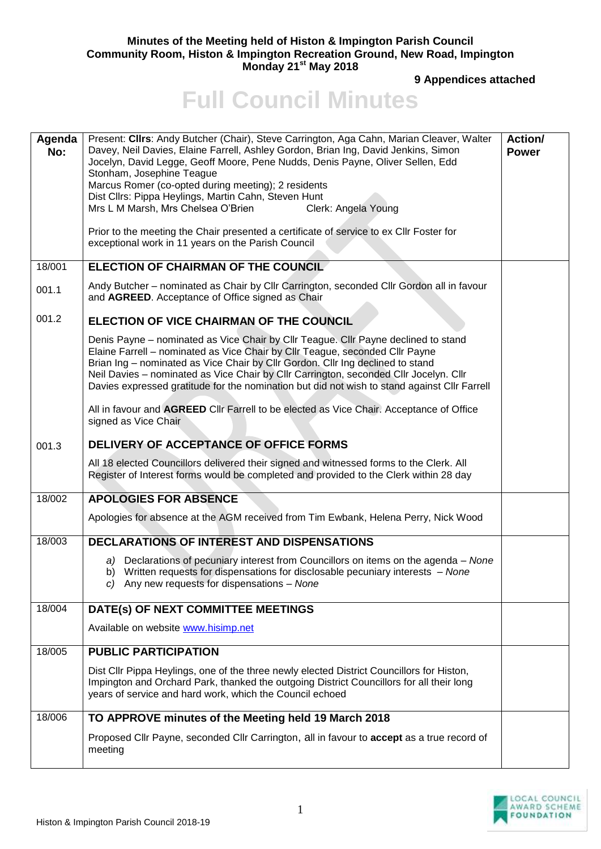## **Minutes of the Meeting held of Histon & Impington Parish Council Community Room, Histon & Impington Recreation Ground, New Road, Impington Monday 21st May 2018**

**9 Appendices attached** 

## **Full Council Minutes**

| Present: Cllrs: Andy Butcher (Chair), Steve Carrington, Aga Cahn, Marian Cleaver, Walter<br>Agenda<br>Davey, Neil Davies, Elaine Farrell, Ashley Gordon, Brian Ing, David Jenkins, Simon<br>No:<br>Jocelyn, David Legge, Geoff Moore, Pene Nudds, Denis Payne, Oliver Sellen, Edd<br>Stonham, Josephine Teague                                                                                                                                |                     | Action/<br><b>Power</b> |
|-----------------------------------------------------------------------------------------------------------------------------------------------------------------------------------------------------------------------------------------------------------------------------------------------------------------------------------------------------------------------------------------------------------------------------------------------|---------------------|-------------------------|
|                                                                                                                                                                                                                                                                                                                                                                                                                                               |                     |                         |
|                                                                                                                                                                                                                                                                                                                                                                                                                                               |                     |                         |
| Marcus Romer (co-opted during meeting); 2 residents                                                                                                                                                                                                                                                                                                                                                                                           |                     |                         |
| Dist Cllrs: Pippa Heylings, Martin Cahn, Steven Hunt                                                                                                                                                                                                                                                                                                                                                                                          |                     |                         |
| Mrs L M Marsh, Mrs Chelsea O'Brien                                                                                                                                                                                                                                                                                                                                                                                                            | Clerk: Angela Young |                         |
| Prior to the meeting the Chair presented a certificate of service to ex Cllr Foster for<br>exceptional work in 11 years on the Parish Council                                                                                                                                                                                                                                                                                                 |                     |                         |
| ELECTION OF CHAIRMAN OF THE COUNCIL<br>18/001                                                                                                                                                                                                                                                                                                                                                                                                 |                     |                         |
| Andy Butcher - nominated as Chair by Cllr Carrington, seconded Cllr Gordon all in favour<br>001.1<br>and AGREED. Acceptance of Office signed as Chair                                                                                                                                                                                                                                                                                         |                     |                         |
| 001.2<br>ELECTION OF VICE CHAIRMAN OF THE COUNCIL                                                                                                                                                                                                                                                                                                                                                                                             |                     |                         |
| Denis Payne - nominated as Vice Chair by Cllr Teague. Cllr Payne declined to stand<br>Elaine Farrell - nominated as Vice Chair by Cllr Teague, seconded Cllr Payne<br>Brian Ing - nominated as Vice Chair by Cllr Gordon. Cllr Ing declined to stand<br>Neil Davies - nominated as Vice Chair by Cllr Carrington, seconded Cllr Jocelyn. Cllr<br>Davies expressed gratitude for the nomination but did not wish to stand against Cllr Farrell |                     |                         |
| All in favour and AGREED Cllr Farrell to be elected as Vice Chair. Acceptance of Office<br>signed as Vice Chair                                                                                                                                                                                                                                                                                                                               |                     |                         |
| DELIVERY OF ACCEPTANCE OF OFFICE FORMS<br>001.3                                                                                                                                                                                                                                                                                                                                                                                               |                     |                         |
| All 18 elected Councillors delivered their signed and witnessed forms to the Clerk. All<br>Register of Interest forms would be completed and provided to the Clerk within 28 day                                                                                                                                                                                                                                                              |                     |                         |
| 18/002<br><b>APOLOGIES FOR ABSENCE</b>                                                                                                                                                                                                                                                                                                                                                                                                        |                     |                         |
| Apologies for absence at the AGM received from Tim Ewbank, Helena Perry, Nick Wood                                                                                                                                                                                                                                                                                                                                                            |                     |                         |
| 18/003<br><b>DECLARATIONS OF INTEREST AND DISPENSATIONS</b>                                                                                                                                                                                                                                                                                                                                                                                   |                     |                         |
| a) Declarations of pecuniary interest from Councillors on items on the agenda – None<br>b) Written requests for dispensations for disclosable pecuniary interests - None<br>c) Any new requests for dispensations $-$ None                                                                                                                                                                                                                    |                     |                         |
| DATE(s) OF NEXT COMMITTEE MEETINGS<br>18/004                                                                                                                                                                                                                                                                                                                                                                                                  |                     |                         |
| Available on website www.hisimp.net                                                                                                                                                                                                                                                                                                                                                                                                           |                     |                         |
| 18/005<br><b>PUBLIC PARTICIPATION</b>                                                                                                                                                                                                                                                                                                                                                                                                         |                     |                         |
| Dist Cllr Pippa Heylings, one of the three newly elected District Councillors for Histon,<br>Impington and Orchard Park, thanked the outgoing District Councillors for all their long<br>years of service and hard work, which the Council echoed                                                                                                                                                                                             |                     |                         |
| TO APPROVE minutes of the Meeting held 19 March 2018<br>18/006                                                                                                                                                                                                                                                                                                                                                                                |                     |                         |
| Proposed Cllr Payne, seconded Cllr Carrington, all in favour to accept as a true record of<br>meeting                                                                                                                                                                                                                                                                                                                                         |                     |                         |

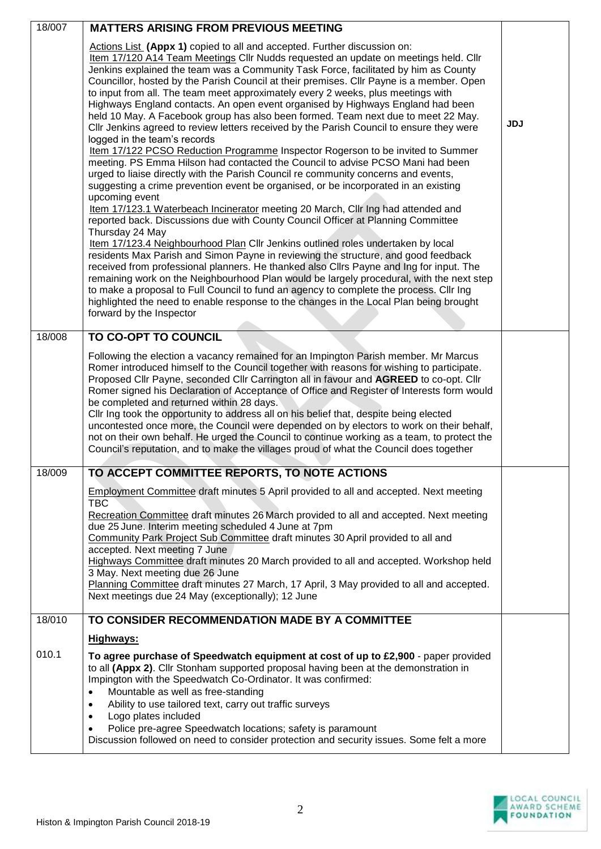| 18/007 | <b>MATTERS ARISING FROM PREVIOUS MEETING</b>                                                                                                                                                                                                                                                                                                                                                                                                                                                                                                                                                                                                                                                                                                                                                                                                                                                                                                                                                                                                                                                                                                                                                                                                                                                                                                                                                                                                                                                                                                                                                                                                                                                                                                                                                                                                                                               |            |
|--------|--------------------------------------------------------------------------------------------------------------------------------------------------------------------------------------------------------------------------------------------------------------------------------------------------------------------------------------------------------------------------------------------------------------------------------------------------------------------------------------------------------------------------------------------------------------------------------------------------------------------------------------------------------------------------------------------------------------------------------------------------------------------------------------------------------------------------------------------------------------------------------------------------------------------------------------------------------------------------------------------------------------------------------------------------------------------------------------------------------------------------------------------------------------------------------------------------------------------------------------------------------------------------------------------------------------------------------------------------------------------------------------------------------------------------------------------------------------------------------------------------------------------------------------------------------------------------------------------------------------------------------------------------------------------------------------------------------------------------------------------------------------------------------------------------------------------------------------------------------------------------------------------|------------|
|        | Actions List (Appx 1) copied to all and accepted. Further discussion on:<br>Item 17/120 A14 Team Meetings Cllr Nudds requested an update on meetings held. Cllr<br>Jenkins explained the team was a Community Task Force, facilitated by him as County<br>Councillor, hosted by the Parish Council at their premises. Cllr Payne is a member. Open<br>to input from all. The team meet approximately every 2 weeks, plus meetings with<br>Highways England contacts. An open event organised by Highways England had been<br>held 10 May. A Facebook group has also been formed. Team next due to meet 22 May.<br>CIIr Jenkins agreed to review letters received by the Parish Council to ensure they were<br>logged in the team's records<br>Item 17/122 PCSO Reduction Programme Inspector Rogerson to be invited to Summer<br>meeting. PS Emma Hilson had contacted the Council to advise PCSO Mani had been<br>urged to liaise directly with the Parish Council re community concerns and events,<br>suggesting a crime prevention event be organised, or be incorporated in an existing<br>upcoming event<br>Item 17/123.1 Waterbeach Incinerator meeting 20 March, Cllr Ing had attended and<br>reported back. Discussions due with County Council Officer at Planning Committee<br>Thursday 24 May<br>Item 17/123.4 Neighbourhood Plan Cllr Jenkins outlined roles undertaken by local<br>residents Max Parish and Simon Payne in reviewing the structure, and good feedback<br>received from professional planners. He thanked also Cllrs Payne and Ing for input. The<br>remaining work on the Neighbourhood Plan would be largely procedural, with the next step<br>to make a proposal to Full Council to fund an agency to complete the process. Cllr Ing<br>highlighted the need to enable response to the changes in the Local Plan being brought<br>forward by the Inspector | <b>JDJ</b> |
| 18/008 | TO CO-OPT TO COUNCIL                                                                                                                                                                                                                                                                                                                                                                                                                                                                                                                                                                                                                                                                                                                                                                                                                                                                                                                                                                                                                                                                                                                                                                                                                                                                                                                                                                                                                                                                                                                                                                                                                                                                                                                                                                                                                                                                       |            |
|        | Following the election a vacancy remained for an Impington Parish member. Mr Marcus<br>Romer introduced himself to the Council together with reasons for wishing to participate.<br>Proposed Cllr Payne, seconded Cllr Carrington all in favour and AGREED to co-opt. Cllr<br>Romer signed his Declaration of Acceptance of Office and Register of Interests form would<br>be completed and returned within 28 days.<br>Cllr Ing took the opportunity to address all on his belief that, despite being elected<br>uncontested once more, the Council were depended on by electors to work on their behalf,<br>not on their own behalf. He urged the Council to continue working as a team, to protect the<br>Council's reputation, and to make the villages proud of what the Council does together                                                                                                                                                                                                                                                                                                                                                                                                                                                                                                                                                                                                                                                                                                                                                                                                                                                                                                                                                                                                                                                                                        |            |
| 18/009 | TO ACCEPT COMMITTEE REPORTS, TO NOTE ACTIONS                                                                                                                                                                                                                                                                                                                                                                                                                                                                                                                                                                                                                                                                                                                                                                                                                                                                                                                                                                                                                                                                                                                                                                                                                                                                                                                                                                                                                                                                                                                                                                                                                                                                                                                                                                                                                                               |            |
|        | <b>Employment Committee draft minutes 5 April provided to all and accepted. Next meeting</b><br><b>TBC</b><br>Recreation Committee draft minutes 26 March provided to all and accepted. Next meeting<br>due 25 June. Interim meeting scheduled 4 June at 7pm<br>Community Park Project Sub Committee draft minutes 30 April provided to all and<br>accepted. Next meeting 7 June<br>Highways Committee draft minutes 20 March provided to all and accepted. Workshop held<br>3 May. Next meeting due 26 June<br>Planning Committee draft minutes 27 March, 17 April, 3 May provided to all and accepted.<br>Next meetings due 24 May (exceptionally); 12 June                                                                                                                                                                                                                                                                                                                                                                                                                                                                                                                                                                                                                                                                                                                                                                                                                                                                                                                                                                                                                                                                                                                                                                                                                              |            |
| 18/010 | TO CONSIDER RECOMMENDATION MADE BY A COMMITTEE                                                                                                                                                                                                                                                                                                                                                                                                                                                                                                                                                                                                                                                                                                                                                                                                                                                                                                                                                                                                                                                                                                                                                                                                                                                                                                                                                                                                                                                                                                                                                                                                                                                                                                                                                                                                                                             |            |
|        | Highways:                                                                                                                                                                                                                                                                                                                                                                                                                                                                                                                                                                                                                                                                                                                                                                                                                                                                                                                                                                                                                                                                                                                                                                                                                                                                                                                                                                                                                                                                                                                                                                                                                                                                                                                                                                                                                                                                                  |            |
| 010.1  | To agree purchase of Speedwatch equipment at cost of up to £2,900 - paper provided<br>to all (Appx 2). Cllr Stonham supported proposal having been at the demonstration in<br>Impington with the Speedwatch Co-Ordinator. It was confirmed:<br>Mountable as well as free-standing<br>$\bullet$<br>Ability to use tailored text, carry out traffic surveys<br>$\bullet$<br>Logo plates included<br>$\bullet$<br>Police pre-agree Speedwatch locations; safety is paramount<br>Discussion followed on need to consider protection and security issues. Some felt a more                                                                                                                                                                                                                                                                                                                                                                                                                                                                                                                                                                                                                                                                                                                                                                                                                                                                                                                                                                                                                                                                                                                                                                                                                                                                                                                      |            |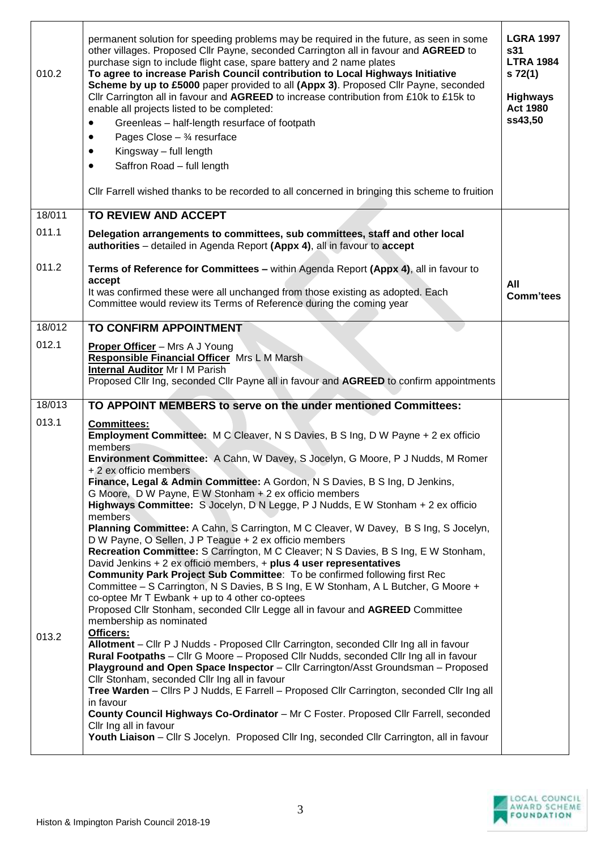| 010.2  | permanent solution for speeding problems may be required in the future, as seen in some<br>other villages. Proposed Cllr Payne, seconded Carrington all in favour and AGREED to<br>purchase sign to include flight case, spare battery and 2 name plates<br>To agree to increase Parish Council contribution to Local Highways Initiative<br>Scheme by up to £5000 paper provided to all (Appx 3). Proposed Cllr Payne, seconded<br>Cllr Carrington all in favour and AGREED to increase contribution from £10k to £15k to<br>enable all projects listed to be completed:<br>Greenleas - half-length resurface of footpath<br>$\bullet$<br>Pages Close $ \frac{3}{4}$ resurface<br>Kingsway - full length<br>Saffron Road - full length<br>$\bullet$<br>CIIr Farrell wished thanks to be recorded to all concerned in bringing this scheme to fruition | <b>LGRA 1997</b><br>s31<br><b>LTRA 1984</b><br>s 72(1)<br><b>Highways</b><br><b>Act 1980</b><br>ss43,50 |
|--------|--------------------------------------------------------------------------------------------------------------------------------------------------------------------------------------------------------------------------------------------------------------------------------------------------------------------------------------------------------------------------------------------------------------------------------------------------------------------------------------------------------------------------------------------------------------------------------------------------------------------------------------------------------------------------------------------------------------------------------------------------------------------------------------------------------------------------------------------------------|---------------------------------------------------------------------------------------------------------|
| 18/011 | <b>TO REVIEW AND ACCEPT</b>                                                                                                                                                                                                                                                                                                                                                                                                                                                                                                                                                                                                                                                                                                                                                                                                                            |                                                                                                         |
| 011.1  | Delegation arrangements to committees, sub committees, staff and other local<br>authorities - detailed in Agenda Report (Appx 4), all in favour to accept                                                                                                                                                                                                                                                                                                                                                                                                                                                                                                                                                                                                                                                                                              |                                                                                                         |
| 011.2  | Terms of Reference for Committees - within Agenda Report (Appx 4), all in favour to<br>accept<br>It was confirmed these were all unchanged from those existing as adopted. Each<br>Committee would review its Terms of Reference during the coming year                                                                                                                                                                                                                                                                                                                                                                                                                                                                                                                                                                                                | All<br><b>Comm'tees</b>                                                                                 |
| 18/012 | TO CONFIRM APPOINTMENT                                                                                                                                                                                                                                                                                                                                                                                                                                                                                                                                                                                                                                                                                                                                                                                                                                 |                                                                                                         |
| 012.1  |                                                                                                                                                                                                                                                                                                                                                                                                                                                                                                                                                                                                                                                                                                                                                                                                                                                        |                                                                                                         |
|        | <b>Proper Officer</b> - Mrs A J Young<br>Responsible Financial Officer Mrs L M Marsh<br>Internal Auditor Mr I M Parish<br>Proposed Cllr Ing, seconded Cllr Payne all in favour and AGREED to confirm appointments                                                                                                                                                                                                                                                                                                                                                                                                                                                                                                                                                                                                                                      |                                                                                                         |
| 18/013 | TO APPOINT MEMBERS to serve on the under mentioned Committees:                                                                                                                                                                                                                                                                                                                                                                                                                                                                                                                                                                                                                                                                                                                                                                                         |                                                                                                         |
| 013.1  | <b>Committees:</b><br>Employment Committee: M C Cleaver, N S Davies, B S Ing, D W Payne + 2 ex officio<br>members<br>Environment Committee: A Cahn, W Davey, S Jocelyn, G Moore, P J Nudds, M Romer<br>+ 2 ex officio members<br>Finance, Legal & Admin Committee: A Gordon, N S Davies, B S Ing, D Jenkins,<br>G Moore, D W Payne, E W Stonham + 2 ex officio members<br>Highways Committee: S Jocelyn, D N Legge, P J Nudds, E W Stonham + 2 ex officio<br>members<br>Planning Committee: A Cahn, S Carrington, M C Cleaver, W Davey, B S Ing, S Jocelyn,                                                                                                                                                                                                                                                                                            |                                                                                                         |
| 013.2  | D W Payne, O Sellen, J P Teague + 2 ex officio members<br>Recreation Committee: S Carrington, M C Cleaver; N S Davies, B S Ing, E W Stonham,<br>David Jenkins + 2 ex officio members, + plus 4 user representatives<br><b>Community Park Project Sub Committee: To be confirmed following first Rec</b><br>Committee - S Carrington, N S Davies, B S Ing, E W Stonham, A L Butcher, G Moore +<br>co-optee Mr $T$ Ewbank $+$ up to 4 other co-optees<br>Proposed Cllr Stonham, seconded Cllr Legge all in favour and AGREED Committee<br>membership as nominated<br>Officers:<br>Allotment - Cllr P J Nudds - Proposed Cllr Carrington, seconded Cllr Ing all in favour<br>Rural Footpaths - Cllr G Moore - Proposed Cllr Nudds, seconded Cllr Ing all in favour                                                                                        |                                                                                                         |
|        | Playground and Open Space Inspector - Cllr Carrington/Asst Groundsman - Proposed<br>Cllr Stonham, seconded Cllr Ing all in favour<br>Tree Warden - Cllrs P J Nudds, E Farrell - Proposed Cllr Carrington, seconded Cllr Ing all<br>in favour<br>County Council Highways Co-Ordinator - Mr C Foster. Proposed Cllr Farrell, seconded<br>Cllr Ing all in favour<br>Youth Liaison - Cllr S Jocelyn. Proposed Cllr Ing, seconded Cllr Carrington, all in favour                                                                                                                                                                                                                                                                                                                                                                                            |                                                                                                         |

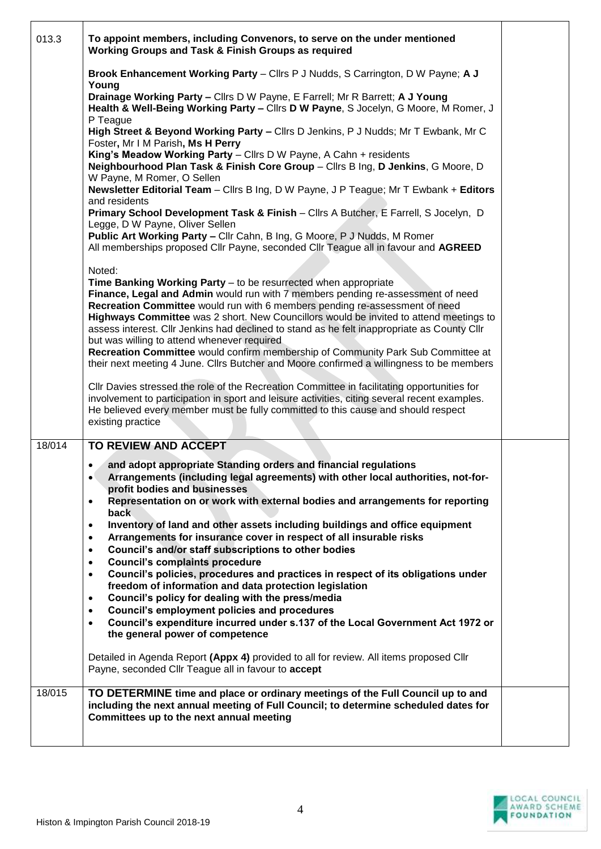| 013.3  | To appoint members, including Convenors, to serve on the under mentioned<br>Working Groups and Task & Finish Groups as required                                                                                                                                                                                                       |  |
|--------|---------------------------------------------------------------------------------------------------------------------------------------------------------------------------------------------------------------------------------------------------------------------------------------------------------------------------------------|--|
|        | Brook Enhancement Working Party - Cllrs P J Nudds, S Carrington, D W Payne; A J<br>Young                                                                                                                                                                                                                                              |  |
|        | Drainage Working Party - Cllrs D W Payne, E Farrell; Mr R Barrett; A J Young<br>Health & Well-Being Working Party - Cllrs D W Payne, S Jocelyn, G Moore, M Romer, J<br>P Teague                                                                                                                                                       |  |
|        | High Street & Beyond Working Party - Cllrs D Jenkins, P J Nudds; Mr T Ewbank, Mr C<br>Foster, Mr I M Parish, Ms H Perry                                                                                                                                                                                                               |  |
|        | King's Meadow Working Party - Cllrs D W Payne, A Cahn + residents<br>Neighbourhood Plan Task & Finish Core Group - Cllrs B Ing, D Jenkins, G Moore, D<br>W Payne, M Romer, O Sellen                                                                                                                                                   |  |
|        | Newsletter Editorial Team - Cllrs B Ing, D W Payne, J P Teague; Mr T Ewbank + Editors<br>and residents                                                                                                                                                                                                                                |  |
|        | Primary School Development Task & Finish - Cllrs A Butcher, E Farrell, S Jocelyn, D<br>Legge, D W Payne, Oliver Sellen                                                                                                                                                                                                                |  |
|        | Public Art Working Party - Cllr Cahn, B Ing, G Moore, P J Nudds, M Romer<br>All memberships proposed Cllr Payne, seconded Cllr Teague all in favour and AGREED                                                                                                                                                                        |  |
|        | Noted:<br>Time Banking Working Party - to be resurrected when appropriate<br>Finance, Legal and Admin would run with 7 members pending re-assessment of need<br>Recreation Committee would run with 6 members pending re-assessment of need<br>Highways Committee was 2 short. New Councillors would be invited to attend meetings to |  |
|        | assess interest. Cllr Jenkins had declined to stand as he felt inappropriate as County Cllr<br>but was willing to attend whenever required<br>Recreation Committee would confirm membership of Community Park Sub Committee at<br>their next meeting 4 June. Clirs Butcher and Moore confirmed a willingness to be members            |  |
|        | Cllr Davies stressed the role of the Recreation Committee in facilitating opportunities for<br>involvement to participation in sport and leisure activities, citing several recent examples.<br>He believed every member must be fully committed to this cause and should respect<br>existing practice                                |  |
| 18/014 | TO REVIEW AND ACCEPT                                                                                                                                                                                                                                                                                                                  |  |
|        | and adopt appropriate Standing orders and financial regulations<br>Arrangements (including legal agreements) with other local authorities, not-for-<br>profit bodies and businesses<br>Representation on or work with external bodies and arrangements for reporting<br>$\bullet$                                                     |  |
|        | back<br>Inventory of land and other assets including buildings and office equipment<br>٠                                                                                                                                                                                                                                              |  |
|        | Arrangements for insurance cover in respect of all insurable risks<br>$\bullet$                                                                                                                                                                                                                                                       |  |
|        | Council's and/or staff subscriptions to other bodies<br>$\bullet$<br><b>Council's complaints procedure</b><br>$\bullet$                                                                                                                                                                                                               |  |
|        | Council's policies, procedures and practices in respect of its obligations under<br>$\bullet$<br>freedom of information and data protection legislation                                                                                                                                                                               |  |
|        | Council's policy for dealing with the press/media<br>$\bullet$<br><b>Council's employment policies and procedures</b><br>$\bullet$                                                                                                                                                                                                    |  |
|        | Council's expenditure incurred under s.137 of the Local Government Act 1972 or<br>$\bullet$<br>the general power of competence                                                                                                                                                                                                        |  |
|        | Detailed in Agenda Report (Appx 4) provided to all for review. All items proposed Cllr<br>Payne, seconded Cllr Teague all in favour to accept                                                                                                                                                                                         |  |
| 18/015 | TO DETERMINE time and place or ordinary meetings of the Full Council up to and<br>including the next annual meeting of Full Council; to determine scheduled dates for<br>Committees up to the next annual meeting                                                                                                                     |  |
|        |                                                                                                                                                                                                                                                                                                                                       |  |

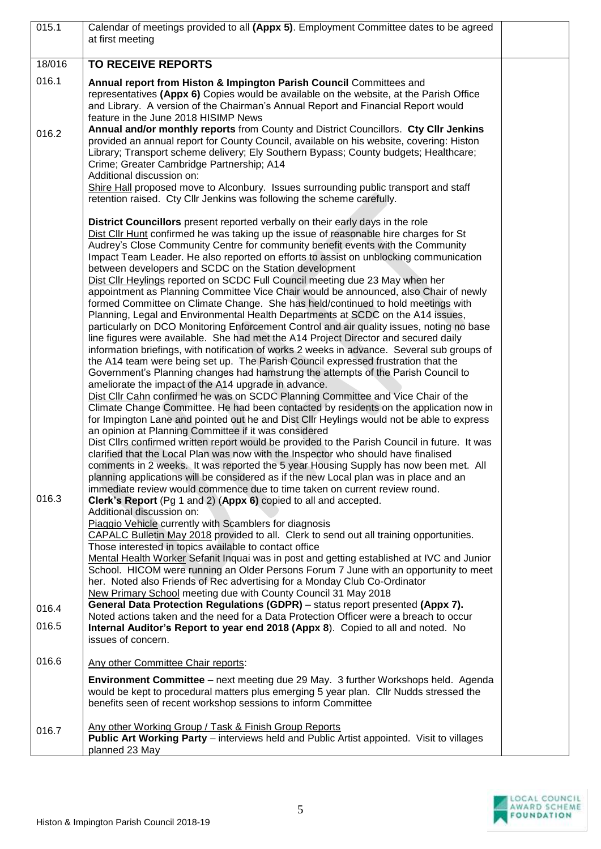| 015.1  | Calendar of meetings provided to all (Appx 5). Employment Committee dates to be agreed<br>at first meeting                                                                                                                                                                                                                                                                                                                                                                                                                                                                                                                                                                                                                                                                                                                                                                                                                                                                                                                                                                                                                                                                                                                                                                                                                                                                                                                                                                                                                                                                                                                                                                                                                                                                                                                                                                                                                                                                                                                                                                  |  |
|--------|-----------------------------------------------------------------------------------------------------------------------------------------------------------------------------------------------------------------------------------------------------------------------------------------------------------------------------------------------------------------------------------------------------------------------------------------------------------------------------------------------------------------------------------------------------------------------------------------------------------------------------------------------------------------------------------------------------------------------------------------------------------------------------------------------------------------------------------------------------------------------------------------------------------------------------------------------------------------------------------------------------------------------------------------------------------------------------------------------------------------------------------------------------------------------------------------------------------------------------------------------------------------------------------------------------------------------------------------------------------------------------------------------------------------------------------------------------------------------------------------------------------------------------------------------------------------------------------------------------------------------------------------------------------------------------------------------------------------------------------------------------------------------------------------------------------------------------------------------------------------------------------------------------------------------------------------------------------------------------------------------------------------------------------------------------------------------------|--|
| 18/016 | <b>TO RECEIVE REPORTS</b>                                                                                                                                                                                                                                                                                                                                                                                                                                                                                                                                                                                                                                                                                                                                                                                                                                                                                                                                                                                                                                                                                                                                                                                                                                                                                                                                                                                                                                                                                                                                                                                                                                                                                                                                                                                                                                                                                                                                                                                                                                                   |  |
| 016.1  | Annual report from Histon & Impington Parish Council Committees and<br>representatives (Appx 6) Copies would be available on the website, at the Parish Office<br>and Library. A version of the Chairman's Annual Report and Financial Report would<br>feature in the June 2018 HISIMP News                                                                                                                                                                                                                                                                                                                                                                                                                                                                                                                                                                                                                                                                                                                                                                                                                                                                                                                                                                                                                                                                                                                                                                                                                                                                                                                                                                                                                                                                                                                                                                                                                                                                                                                                                                                 |  |
| 016.2  | Annual and/or monthly reports from County and District Councillors. Cty Cllr Jenkins<br>provided an annual report for County Council, available on his website, covering: Histon<br>Library; Transport scheme delivery; Ely Southern Bypass; County budgets; Healthcare;<br>Crime; Greater Cambridge Partnership; A14<br>Additional discussion on:<br>Shire Hall proposed move to Alconbury. Issues surrounding public transport and staff<br>retention raised. Cty Cllr Jenkins was following the scheme carefully.                                                                                                                                                                                                                                                                                                                                                                                                                                                                                                                                                                                                                                                                                                                                                                                                                                                                                                                                                                                                                                                                                                                                                                                                                                                                                                                                                                                                                                                                                                                                                        |  |
|        | District Councillors present reported verbally on their early days in the role<br>Dist Cllr Hunt confirmed he was taking up the issue of reasonable hire charges for St<br>Audrey's Close Community Centre for community benefit events with the Community<br>Impact Team Leader. He also reported on efforts to assist on unblocking communication<br>between developers and SCDC on the Station development<br>Dist Cllr Heylings reported on SCDC Full Council meeting due 23 May when her<br>appointment as Planning Committee Vice Chair would be announced, also Chair of newly<br>formed Committee on Climate Change. She has held/continued to hold meetings with<br>Planning, Legal and Environmental Health Departments at SCDC on the A14 issues,<br>particularly on DCO Monitoring Enforcement Control and air quality issues, noting no base<br>line figures were available. She had met the A14 Project Director and secured daily<br>information briefings, with notification of works 2 weeks in advance. Several sub groups of<br>the A14 team were being set up. The Parish Council expressed frustration that the<br>Government's Planning changes had hamstrung the attempts of the Parish Council to<br>ameliorate the impact of the A14 upgrade in advance.<br>Dist Cllr Cahn confirmed he was on SCDC Planning Committee and Vice Chair of the<br>Climate Change Committee. He had been contacted by residents on the application now in<br>for Impington Lane and pointed out he and Dist Cllr Heylings would not be able to express<br>an opinion at Planning Committee if it was considered<br>Dist Cllrs confirmed written report would be provided to the Parish Council in future. It was<br>clarified that the Local Plan was now with the Inspector who should have finalised<br>comments in 2 weeks. It was reported the 5 year Housing Supply has now been met. All<br>planning applications will be considered as if the new Local plan was in place and an<br>immediate review would commence due to time taken on current review round. |  |
| 016.3  | Clerk's Report (Pg 1 and 2) (Appx 6) copied to all and accepted.<br>Additional discussion on:<br>Piaggio Vehicle currently with Scamblers for diagnosis<br>CAPALC Bulletin May 2018 provided to all. Clerk to send out all training opportunities.<br>Those interested in topics available to contact office<br>Mental Health Worker Sefanit Inquai was in post and getting established at IVC and Junior<br>School. HICOM were running an Older Persons Forum 7 June with an opportunity to meet<br>her. Noted also Friends of Rec advertising for a Monday Club Co-Ordinator<br>New Primary School meeting due with County Council 31 May 2018                                                                                                                                                                                                                                                                                                                                                                                                                                                                                                                                                                                                                                                                                                                                                                                                                                                                                                                                                                                                                                                                                                                                                                                                                                                                                                                                                                                                                            |  |
| 016.4  | General Data Protection Regulations (GDPR) - status report presented (Appx 7).<br>Noted actions taken and the need for a Data Protection Officer were a breach to occur                                                                                                                                                                                                                                                                                                                                                                                                                                                                                                                                                                                                                                                                                                                                                                                                                                                                                                                                                                                                                                                                                                                                                                                                                                                                                                                                                                                                                                                                                                                                                                                                                                                                                                                                                                                                                                                                                                     |  |
| 016.5  | Internal Auditor's Report to year end 2018 (Appx 8). Copied to all and noted. No<br>issues of concern.                                                                                                                                                                                                                                                                                                                                                                                                                                                                                                                                                                                                                                                                                                                                                                                                                                                                                                                                                                                                                                                                                                                                                                                                                                                                                                                                                                                                                                                                                                                                                                                                                                                                                                                                                                                                                                                                                                                                                                      |  |
| 016.6  | Any other Committee Chair reports:                                                                                                                                                                                                                                                                                                                                                                                                                                                                                                                                                                                                                                                                                                                                                                                                                                                                                                                                                                                                                                                                                                                                                                                                                                                                                                                                                                                                                                                                                                                                                                                                                                                                                                                                                                                                                                                                                                                                                                                                                                          |  |
|        | Environment Committee - next meeting due 29 May. 3 further Workshops held. Agenda<br>would be kept to procedural matters plus emerging 5 year plan. Cllr Nudds stressed the<br>benefits seen of recent workshop sessions to inform Committee                                                                                                                                                                                                                                                                                                                                                                                                                                                                                                                                                                                                                                                                                                                                                                                                                                                                                                                                                                                                                                                                                                                                                                                                                                                                                                                                                                                                                                                                                                                                                                                                                                                                                                                                                                                                                                |  |
| 016.7  | Any other Working Group / Task & Finish Group Reports<br><b>Public Art Working Party</b> – interviews held and Public Artist appointed. Visit to villages<br>planned 23 May                                                                                                                                                                                                                                                                                                                                                                                                                                                                                                                                                                                                                                                                                                                                                                                                                                                                                                                                                                                                                                                                                                                                                                                                                                                                                                                                                                                                                                                                                                                                                                                                                                                                                                                                                                                                                                                                                                 |  |